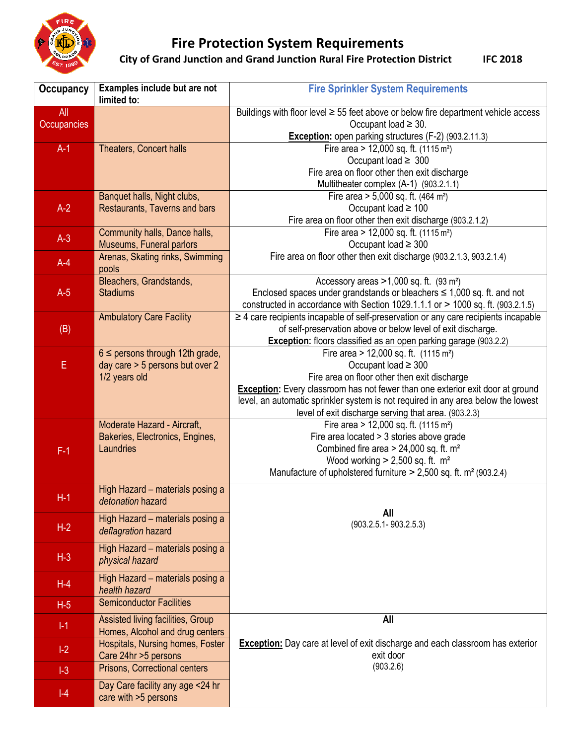

## **Fire Protection System Requirements**

**City of Grand Junction and Grand Junction Rural Fire Protection District IFC 2018** 

| <b>Occupancy</b> | Examples include but are not<br>limited to:                    | <b>Fire Sprinkler System Requirements</b>                                                                                                                                     |
|------------------|----------------------------------------------------------------|-------------------------------------------------------------------------------------------------------------------------------------------------------------------------------|
| All              |                                                                | Buildings with floor level ≥ 55 feet above or below fire department vehicle access                                                                                            |
| Occupancies      |                                                                | Occupant load $\geq$ 30.                                                                                                                                                      |
|                  |                                                                | Exception: open parking structures (F-2) (903.2.11.3)                                                                                                                         |
| $A-1$            | <b>Theaters, Concert halls</b>                                 | Fire area > 12,000 sq. ft. (1115 m <sup>2</sup> )                                                                                                                             |
|                  |                                                                | Occupant load $\geq 300$                                                                                                                                                      |
|                  |                                                                | Fire area on floor other then exit discharge<br>Multitheater complex (A-1) (903.2.1.1)                                                                                        |
|                  | Banquet halls, Night clubs,                                    | Fire area $> 5,000$ sq. ft. (464 m <sup>2</sup> )                                                                                                                             |
| $A-2$            | Restaurants, Taverns and bars                                  | Occupant load $\geq 100$                                                                                                                                                      |
|                  |                                                                | Fire area on floor other then exit discharge (903.2.1.2)                                                                                                                      |
|                  | Community halls, Dance halls,                                  | Fire area > 12,000 sq. ft. $(1115 \text{ m}^2)$                                                                                                                               |
| $A-3$            | Museums, Funeral parlors                                       | Occupant load $\geq 300$                                                                                                                                                      |
| $A-4$            | Arenas, Skating rinks, Swimming                                | Fire area on floor other then exit discharge (903.2.1.3, 903.2.1.4)                                                                                                           |
|                  | pools                                                          |                                                                                                                                                                               |
|                  | Bleachers, Grandstands,                                        | Accessory areas $>1,000$ sq. ft. (93 m <sup>2</sup> )                                                                                                                         |
| $A-5$            | <b>Stadiums</b>                                                | Enclosed spaces under grandstands or bleachers $\leq$ 1,000 sq. ft. and not                                                                                                   |
|                  | <b>Ambulatory Care Facility</b>                                | constructed in accordance with Section 1029.1.1.1 or $>$ 1000 sq. ft. (903.2.1.5)<br>$\geq$ 4 care recipients incapable of self-preservation or any care recipients incapable |
| (B)              |                                                                | of self-preservation above or below level of exit discharge.                                                                                                                  |
|                  |                                                                | <b>Exception:</b> floors classified as an open parking garage (903.2.2)                                                                                                       |
|                  | $6 \leq$ persons through 12th grade,                           | Fire area $> 12,000$ sq. ft. (1115 m <sup>2</sup> )                                                                                                                           |
| E                | day care > 5 persons but over 2                                | Occupant load $\geq 300$                                                                                                                                                      |
|                  | 1/2 years old                                                  | Fire area on floor other then exit discharge                                                                                                                                  |
|                  |                                                                | <b>Exception:</b> Every classroom has not fewer than one exterior exit door at ground                                                                                         |
|                  |                                                                | level, an automatic sprinkler system is not required in any area below the lowest                                                                                             |
|                  |                                                                | level of exit discharge serving that area. (903.2.3)                                                                                                                          |
|                  | Moderate Hazard - Aircraft,<br>Bakeries, Electronics, Engines, | Fire area $> 12,000$ sq. ft. (1115 m <sup>2</sup> )<br>Fire area located > 3 stories above grade                                                                              |
| $F-1$            | Laundries                                                      | Combined fire area $> 24,000$ sq. ft. m <sup>2</sup>                                                                                                                          |
|                  |                                                                | Wood working $> 2,500$ sq. ft. m <sup>2</sup>                                                                                                                                 |
|                  |                                                                | Manufacture of upholstered furniture $> 2,500$ sq. ft. m <sup>2</sup> (903.2.4)                                                                                               |
|                  | High Hazard - materials posing a                               |                                                                                                                                                                               |
| $H-1$            | detonation hazard                                              |                                                                                                                                                                               |
|                  | High Hazard - materials posing a                               | All                                                                                                                                                                           |
| $H-2$            | deflagration hazard                                            | $(903.2.5.1 - 903.2.5.3)$                                                                                                                                                     |
|                  |                                                                |                                                                                                                                                                               |
| $H-3$            | High Hazard - materials posing a                               |                                                                                                                                                                               |
|                  | physical hazard                                                |                                                                                                                                                                               |
| $H-4$            | High Hazard - materials posing a                               |                                                                                                                                                                               |
|                  | health hazard                                                  |                                                                                                                                                                               |
| $H-5$            | <b>Semiconductor Facilities</b>                                |                                                                                                                                                                               |
| $  - 1 $         | Assisted living facilities, Group                              | All                                                                                                                                                                           |
|                  | Homes, Alcohol and drug centers                                |                                                                                                                                                                               |
| $ -2 $           | Hospitals, Nursing homes, Foster                               | <b>Exception:</b> Day care at level of exit discharge and each classroom has exterior                                                                                         |
|                  | Care 24hr > 5 persons                                          | exit door<br>(903.2.6)                                                                                                                                                        |
| $ -3 $           | Prisons, Correctional centers                                  |                                                                                                                                                                               |
| $ -4$            | Day Care facility any age <24 hr                               |                                                                                                                                                                               |
|                  | care with >5 persons                                           |                                                                                                                                                                               |